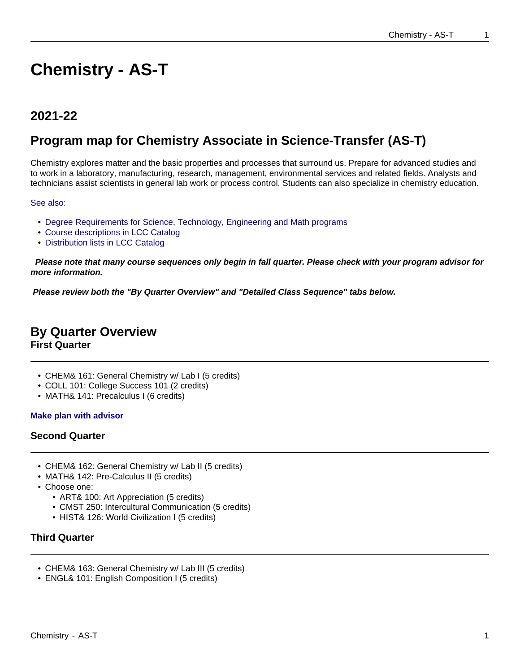# **Chemistry - AS-T**

# **2021-22**

# **Program map for Chemistry Associate in Science-Transfer (AS-T)**

Chemistry explores matter and the basic properties and processes that surround us. Prepare for advanced studies and to work in a laboratory, manufacturing, research, management, environmental services and related fields. Analysts and technicians assist scientists in general lab work or process control. Students can also specialize in chemistry education.

See also:

- Degree Requirements for Science, Technology, Engineering and Math programs
- Course descriptions in LCC Catalog
- Distribution lists in LCC Catalog

 **Please note that many course sequences only begin in fall quarter. Please check with your program advisor for more information.**

**Please review both the "By Quarter Overview" and "Detailed Class Sequence" tabs below.**

# **By Quarter Overview**

**First Quarter**

- CHEM& 161: General Chemistry w/ Lab I (5 credits)
- COLL 101: College Success 101 (2 credits)
- MATH& 141: Precalculus I (6 credits)

#### **Make plan with advisor**

#### **Second Quarter**

- CHEM& 162: General Chemistry w/ Lab II (5 credits)
- MATH& 142: Pre-Calculus II (5 credits)
- Choose one:
	- ART& 100: Art Appreciation (5 credits)
	- CMST 250: Intercultural Communication (5 credits)
	- HIST& 126: World Civilization I (5 credits)

#### **Third Quarter**

- CHEM& 163: General Chemistry w/ Lab III (5 credits)
- ENGL& 101: English Composition I (5 credits)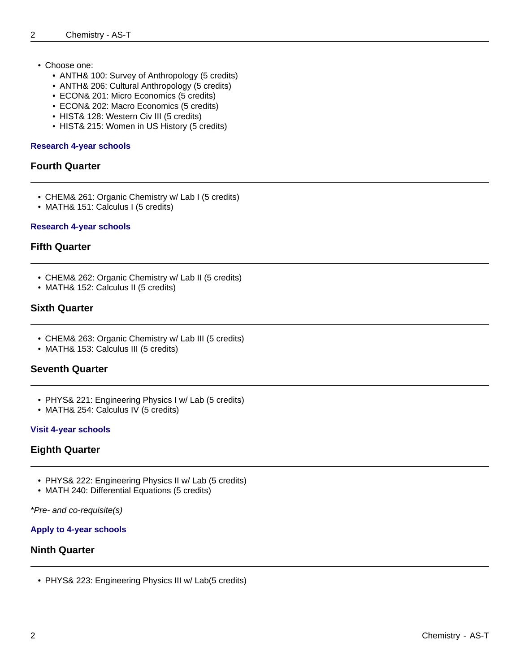- Choose one:
	- ANTH& 100: Survey of Anthropology (5 credits)
	- ANTH& 206: Cultural Anthropology (5 credits)
	- ECON& 201: Micro Economics (5 credits)
	- ECON& 202: Macro Economics (5 credits)
	- HIST& 128: Western Civ III (5 credits)
	- HIST& 215: Women in US History (5 credits)

#### **Research 4-year schools**

#### **Fourth Quarter**

- CHEM& 261: Organic Chemistry w/ Lab I (5 credits)
- MATH& 151: Calculus I (5 credits)

#### **Research 4-year schools**

#### **Fifth Quarter**

- CHEM& 262: Organic Chemistry w/ Lab II (5 credits)
- MATH& 152: Calculus II (5 credits)

#### **Sixth Quarter**

- CHEM& 263: Organic Chemistry w/ Lab III (5 credits)
- MATH& 153: Calculus III (5 credits)

#### **Seventh Quarter**

- PHYS& 221: Engineering Physics I w/ Lab (5 credits)
- MATH& 254: Calculus IV (5 credits)

#### **Visit 4-year schools**

#### **Eighth Quarter**

- PHYS& 222: Engineering Physics II w/ Lab (5 credits)
- MATH 240: Differential Equations (5 credits)

\*Pre- and co-requisite(s)

#### **Apply to 4-year schools**

#### **Ninth Quarter**

• PHYS& 223: Engineering Physics III w/ Lab(5 credits)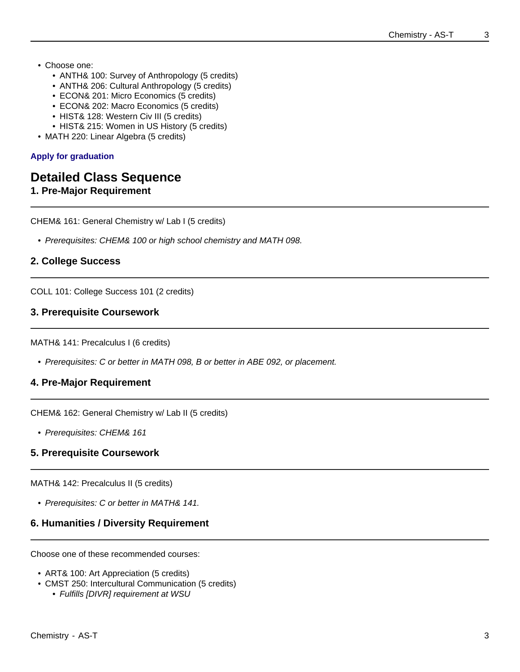- Choose one:
	- ANTH& 100: Survey of Anthropology (5 credits)
	- ANTH& 206: Cultural Anthropology (5 credits)
	- ECON& 201: Micro Economics (5 credits)
	- ECON& 202: Macro Economics (5 credits)
	- HIST& 128: Western Civ III (5 credits)
	- HIST& 215: Women in US History (5 credits)
- MATH 220: Linear Algebra (5 credits)

#### **Apply for graduation**

### **Detailed Class Sequence**

**1. Pre-Major Requirement**

CHEM& 161: General Chemistry w/ Lab I (5 credits)

• Prerequisites: CHEM& 100 or high school chemistry and MATH 098.

#### **2. College Success**

COLL 101: College Success 101 (2 credits)

#### **3. Prerequisite Coursework**

MATH& 141: Precalculus I (6 credits)

• Prerequisites: C or better in MATH 098, B or better in ABE 092, or placement.

#### **4. Pre-Major Requirement**

CHEM& 162: General Chemistry w/ Lab II (5 credits)

• Prerequisites: CHEM& 161

#### **5. Prerequisite Coursework**

MATH& 142: Precalculus II (5 credits)

• Prerequisites: C or better in MATH& 141.

#### **6. Humanities / Diversity Requirement**

Choose one of these recommended courses:

- ART& 100: Art Appreciation (5 credits)
- CMST 250: Intercultural Communication (5 credits)
	- Fulfills [DIVR] requirement at WSU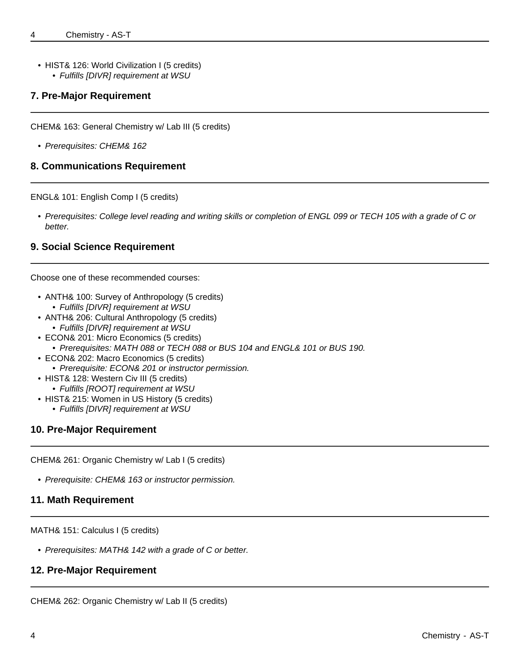• HIST& 126: World Civilization I (5 credits) • Fulfills [DIVR] requirement at WSU

#### **7. Pre-Major Requirement**

CHEM& 163: General Chemistry w/ Lab III (5 credits)

• Prerequisites: CHEM& 162

#### **8. Communications Requirement**

ENGL& 101: English Comp I (5 credits)

• Prerequisites: College level reading and writing skills or completion of ENGL 099 or TECH 105 with a grade of C or better.

#### **9. Social Science Requirement**

Choose one of these recommended courses:

- ANTH& 100: Survey of Anthropology (5 credits) • Fulfills [DIVR] requirement at WSU
- ANTH& 206: Cultural Anthropology (5 credits)
	- Fulfills [DIVR] requirement at WSU
- ECON& 201: Micro Economics (5 credits)
- Prerequisites: MATH 088 or TECH 088 or BUS 104 and ENGL& 101 or BUS 190.
- ECON& 202: Macro Economics (5 credits)
	- Prerequisite: ECON& 201 or instructor permission.
- HIST& 128: Western Civ III (5 credits)
	- Fulfills [ROOT] requirement at WSU
- HIST& 215: Women in US History (5 credits)
	- Fulfills [DIVR] requirement at WSU

#### **10. Pre-Major Requirement**

CHEM& 261: Organic Chemistry w/ Lab I (5 credits)

• Prerequisite: CHEM& 163 or instructor permission.

#### **11. Math Requirement**

MATH& 151: Calculus I (5 credits)

• Prerequisites: MATH& 142 with a grade of C or better.

#### **12. Pre-Major Requirement**

CHEM& 262: Organic Chemistry w/ Lab II (5 credits)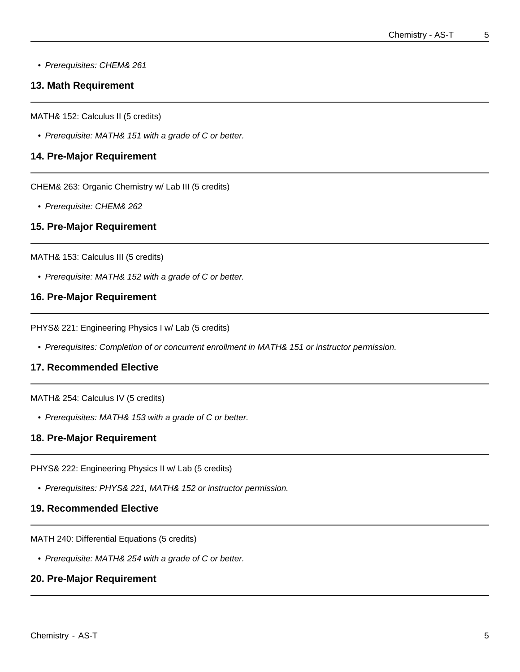• Prerequisites: CHEM& 261

#### **13. Math Requirement**

MATH& 152: Calculus II (5 credits)

• Prerequisite: MATH& 151 with a grade of C or better.

#### **14. Pre-Major Requirement**

CHEM& 263: Organic Chemistry w/ Lab III (5 credits)

• Prerequisite: CHEM& 262

#### **15. Pre-Major Requirement**

MATH& 153: Calculus III (5 credits)

• Prerequisite: MATH& 152 with a grade of C or better.

#### **16. Pre-Major Requirement**

PHYS& 221: Engineering Physics I w/ Lab (5 credits)

• Prerequisites: Completion of or concurrent enrollment in MATH& 151 or instructor permission.

#### **17. Recommended Elective**

MATH& 254: Calculus IV (5 credits)

• Prerequisites: MATH& 153 with a grade of C or better.

#### **18. Pre-Major Requirement**

PHYS& 222: Engineering Physics II w/ Lab (5 credits)

• Prerequisites: PHYS& 221, MATH& 152 or instructor permission.

#### **19. Recommended Elective**

MATH 240: Differential Equations (5 credits)

• Prerequisite: MATH& 254 with a grade of C or better.

#### **20. Pre-Major Requirement**